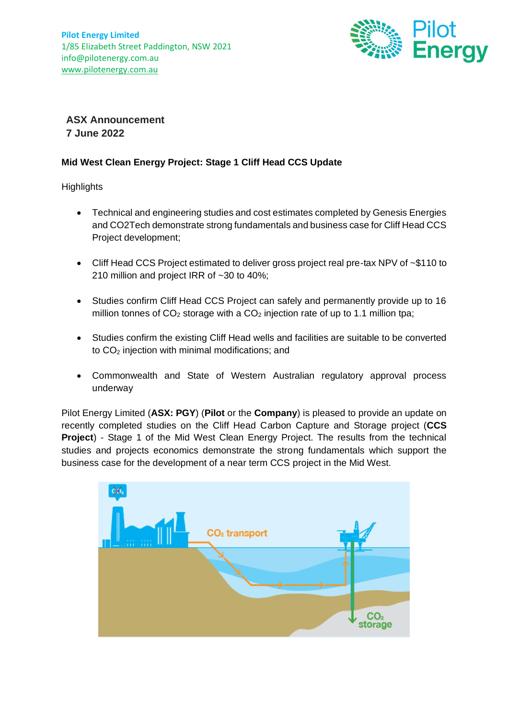

**ASX Announcement 7 June 2022**

## **Mid West Clean Energy Project: Stage 1 Cliff Head CCS Update**

**Highlights** 

- Technical and engineering studies and cost estimates completed by Genesis Energies and CO2Tech demonstrate strong fundamentals and business case for Cliff Head CCS Project development;
- Cliff Head CCS Project estimated to deliver gross project real pre-tax NPV of ~\$110 to 210 million and project IRR of ~30 to 40%;
- Studies confirm Cliff Head CCS Project can safely and permanently provide up to 16 million tonnes of  $CO<sub>2</sub>$  storage with a  $CO<sub>2</sub>$  injection rate of up to 1.1 million tpa;
- Studies confirm the existing Cliff Head wells and facilities are suitable to be converted to  $CO<sub>2</sub>$  injection with minimal modifications; and
- Commonwealth and State of Western Australian regulatory approval process underway

Pilot Energy Limited (**ASX: PGY**) (**Pilot** or the **Company**) is pleased to provide an update on recently completed studies on the Cliff Head Carbon Capture and Storage project (**CCS Project**) - Stage 1 of the Mid West Clean Energy Project. The results from the technical studies and projects economics demonstrate the strong fundamentals which support the business case for the development of a near term CCS project in the Mid West.

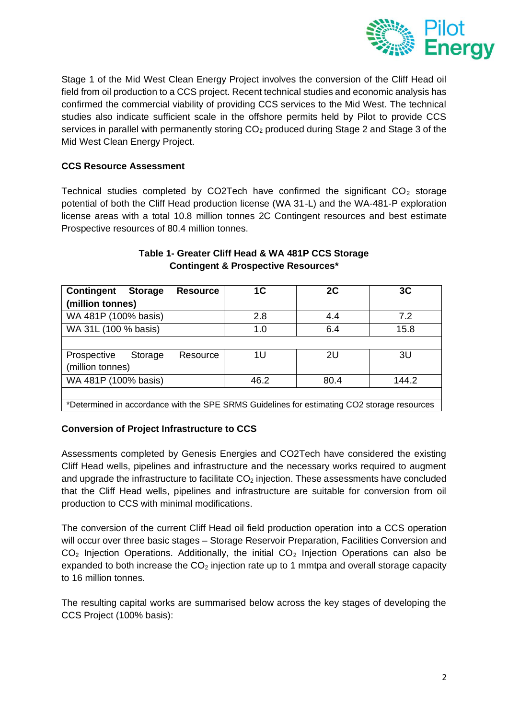

Stage 1 of the Mid West Clean Energy Project involves the conversion of the Cliff Head oil field from oil production to a CCS project. Recent technical studies and economic analysis has confirmed the commercial viability of providing CCS services to the Mid West. The technical studies also indicate sufficient scale in the offshore permits held by Pilot to provide CCS services in parallel with permanently storing  $CO<sub>2</sub>$  produced during Stage 2 and Stage 3 of the Mid West Clean Energy Project.

# **CCS Resource Assessment**

Technical studies completed by CO2Tech have confirmed the significant  $CO<sub>2</sub>$  storage potential of both the Cliff Head production license (WA 31-L) and the WA-481-P exploration license areas with a total 10.8 million tonnes 2C Contingent resources and best estimate Prospective resources of 80.4 million tonnes.

| Contingent<br><b>Storage</b><br><b>Resource</b>                                             | 1C   | 2C   | 3C    |  |
|---------------------------------------------------------------------------------------------|------|------|-------|--|
| (million tonnes)                                                                            |      |      |       |  |
| WA 481P (100% basis)                                                                        | 2.8  | 4.4  | 7.2   |  |
| WA 31L (100 % basis)                                                                        | 1.0  | 6.4  | 15.8  |  |
|                                                                                             |      |      |       |  |
| Prospective<br>Storage<br>Resource                                                          | 1U   | 2U   | 3U    |  |
| (million tonnes)                                                                            |      |      |       |  |
| WA 481P (100% basis)                                                                        | 46.2 | 80.4 | 144.2 |  |
|                                                                                             |      |      |       |  |
| *Determined in accordance with the SPE SRMS Guidelines for estimating CO2 storage resources |      |      |       |  |

## **Table 1- Greater Cliff Head & WA 481P CCS Storage Contingent & Prospective Resources\***

# **Conversion of Project Infrastructure to CCS**

Assessments completed by Genesis Energies and CO2Tech have considered the existing Cliff Head wells, pipelines and infrastructure and the necessary works required to augment and upgrade the infrastructure to facilitate  $CO<sub>2</sub>$  injection. These assessments have concluded that the Cliff Head wells, pipelines and infrastructure are suitable for conversion from oil production to CCS with minimal modifications.

The conversion of the current Cliff Head oil field production operation into a CCS operation will occur over three basic stages - Storage Reservoir Preparation, Facilities Conversion and  $CO<sub>2</sub>$  Injection Operations. Additionally, the initial  $CO<sub>2</sub>$  Injection Operations can also be expanded to both increase the  $CO<sub>2</sub>$  injection rate up to 1 mmtpa and overall storage capacity to 16 million tonnes.

The resulting capital works are summarised below across the key stages of developing the CCS Project (100% basis):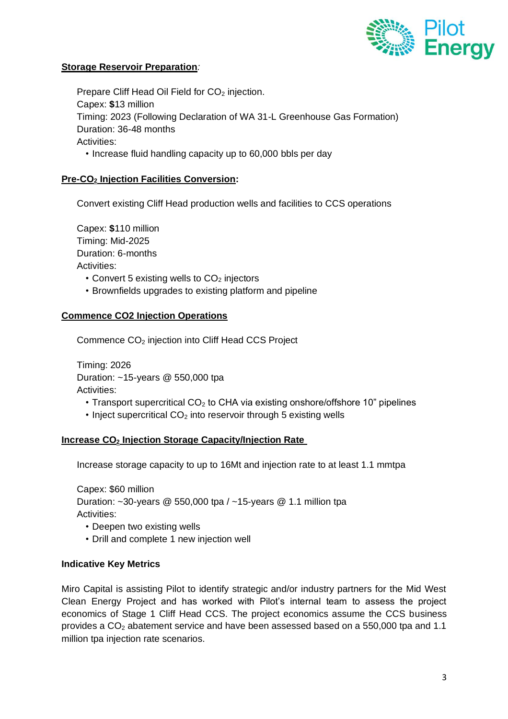

## **Storage Reservoir Preparation***:*

Prepare Cliff Head Oil Field for CO<sub>2</sub> injection. Capex: **\$**13 million Timing: 2023 (Following Declaration of WA 31-L Greenhouse Gas Formation) Duration: 36-48 months Activities: • Increase fluid handling capacity up to 60,000 bbls per day

## **Pre-CO<sup>2</sup> Injection Facilities Conversion:**

Convert existing Cliff Head production wells and facilities to CCS operations

Capex: **\$**110 million Timing: Mid-2025 Duration: 6-months Activities:

- Convert 5 existing wells to  $CO<sub>2</sub>$  injectors
- Brownfields upgrades to existing platform and pipeline

#### **Commence CO2 Injection Operations**

Commence CO<sup>2</sup> injection into Cliff Head CCS Project

Timing: 2026 Duration: ~15-years @ 550,000 tpa Activities:

- Transport supercritical  $CO<sub>2</sub>$  to CHA via existing onshore/offshore 10" pipelines
- $\cdot$  Inject supercritical  $CO<sub>2</sub>$  into reservoir through 5 existing wells

#### **Increase CO<sup>2</sup> Injection Storage Capacity/Injection Rate**

Increase storage capacity to up to 16Mt and injection rate to at least 1.1 mmtpa

Capex: \$60 million Duration: ~30-years @ 550,000 tpa / ~15-years @ 1.1 million tpa Activities:

- Deepen two existing wells
- Drill and complete 1 new injection well

#### **Indicative Key Metrics**

Miro Capital is assisting Pilot to identify strategic and/or industry partners for the Mid West Clean Energy Project and has worked with Pilot's internal team to assess the project economics of Stage 1 Cliff Head CCS. The project economics assume the CCS business provides a  $CO<sub>2</sub>$  abatement service and have been assessed based on a 550,000 tpa and 1.1 million tpa injection rate scenarios.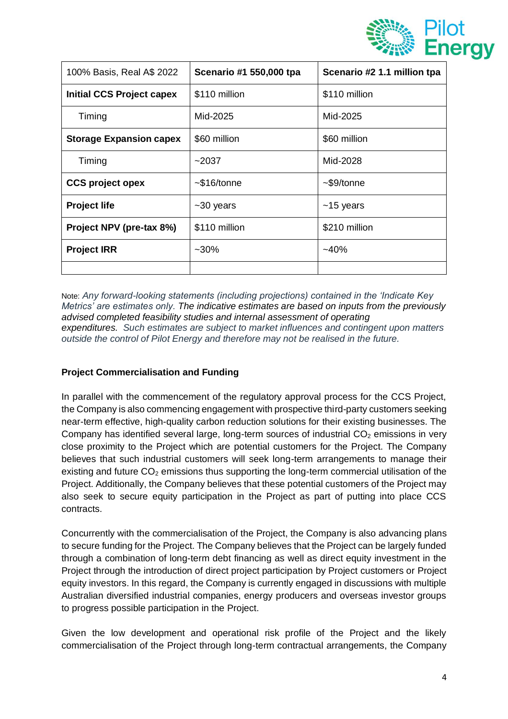

| 100% Basis, Real A\$ 2022        | Scenario #1 550,000 tpa | Scenario #2 1.1 million tpa |
|----------------------------------|-------------------------|-----------------------------|
| <b>Initial CCS Project capex</b> | \$110 million           | \$110 million               |
| Timing                           | Mid-2025                | Mid-2025                    |
| <b>Storage Expansion capex</b>   | \$60 million            | \$60 million                |
| Timing                           | ~2037                   | Mid-2028                    |
| <b>CCS project opex</b>          | $~516$ /tonne           | $\sim$ \$9/tonne            |
| <b>Project life</b>              | $~10$ years             | $~15$ years                 |
| Project NPV (pre-tax 8%)         | \$110 million           | \$210 million               |
| <b>Project IRR</b>               | $~10\%$                 | $-40%$                      |
|                                  |                         |                             |

Note: *Any forward-looking statements (including projections) contained in the 'Indicate Key Metrics' are estimates only. The indicative estimates are based on inputs from the previously advised completed feasibility studies and internal assessment of operating expenditures. Such estimates are subject to market influences and contingent upon matters outside the control of Pilot Energy and therefore may not be realised in the future.*

# **Project Commercialisation and Funding**

In parallel with the commencement of the regulatory approval process for the CCS Project, the Company is also commencing engagement with prospective third-party customers seeking near-term effective, high-quality carbon reduction solutions for their existing businesses. The Company has identified several large, long-term sources of industrial  $CO<sub>2</sub>$  emissions in very close proximity to the Project which are potential customers for the Project. The Company believes that such industrial customers will seek long-term arrangements to manage their existing and future  $CO<sub>2</sub>$  emissions thus supporting the long-term commercial utilisation of the Project. Additionally, the Company believes that these potential customers of the Project may also seek to secure equity participation in the Project as part of putting into place CCS contracts.

Concurrently with the commercialisation of the Project, the Company is also advancing plans to secure funding for the Project. The Company believes that the Project can be largely funded through a combination of long-term debt financing as well as direct equity investment in the Project through the introduction of direct project participation by Project customers or Project equity investors. In this regard, the Company is currently engaged in discussions with multiple Australian diversified industrial companies, energy producers and overseas investor groups to progress possible participation in the Project.

Given the low development and operational risk profile of the Project and the likely commercialisation of the Project through long-term contractual arrangements, the Company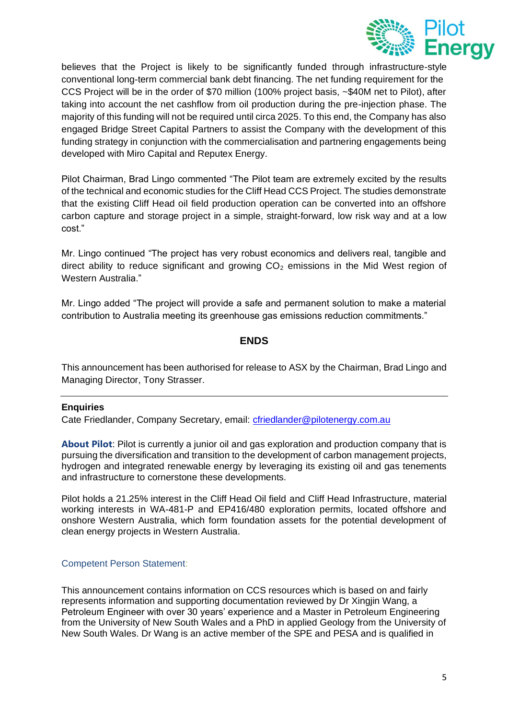

believes that the Project is likely to be significantly funded through infrastructure-style conventional long-term commercial bank debt financing. The net funding requirement for the CCS Project will be in the order of \$70 million (100% project basis, ~\$40M net to Pilot), after taking into account the net cashflow from oil production during the pre-injection phase. The majority of this funding will not be required until circa 2025. To this end, the Company has also engaged Bridge Street Capital Partners to assist the Company with the development of this funding strategy in conjunction with the commercialisation and partnering engagements being developed with Miro Capital and Reputex Energy.

Pilot Chairman, Brad Lingo commented "The Pilot team are extremely excited by the results of the technical and economic studies for the Cliff Head CCS Project. The studies demonstrate that the existing Cliff Head oil field production operation can be converted into an offshore carbon capture and storage project in a simple, straight-forward, low risk way and at a low cost."

Mr. Lingo continued "The project has very robust economics and delivers real, tangible and direct ability to reduce significant and growing  $CO<sub>2</sub>$  emissions in the Mid West region of Western Australia."

Mr. Lingo added "The project will provide a safe and permanent solution to make a material contribution to Australia meeting its greenhouse gas emissions reduction commitments."

#### **ENDS**

This announcement has been authorised for release to ASX by the Chairman, Brad Lingo and Managing Director, Tony Strasser.

#### **Enquiries**

Cate Friedlander, Company Secretary, email: *cfriedlander@pilotenergy.com.au* 

**About Pilot**: Pilot is currently a junior oil and gas exploration and production company that is pursuing the diversification and transition to the development of carbon management projects, hydrogen and integrated renewable energy by leveraging its existing oil and gas tenements and infrastructure to cornerstone these developments.

Pilot holds a 21.25% interest in the Cliff Head Oil field and Cliff Head Infrastructure, material working interests in WA-481-P and EP416/480 exploration permits, located offshore and onshore Western Australia, which form foundation assets for the potential development of clean energy projects in Western Australia.

#### Competent Person Statement:

This announcement contains information on CCS resources which is based on and fairly represents information and supporting documentation reviewed by Dr Xingjin Wang, a Petroleum Engineer with over 30 years' experience and a Master in Petroleum Engineering from the University of New South Wales and a PhD in applied Geology from the University of New South Wales. Dr Wang is an active member of the SPE and PESA and is qualified in